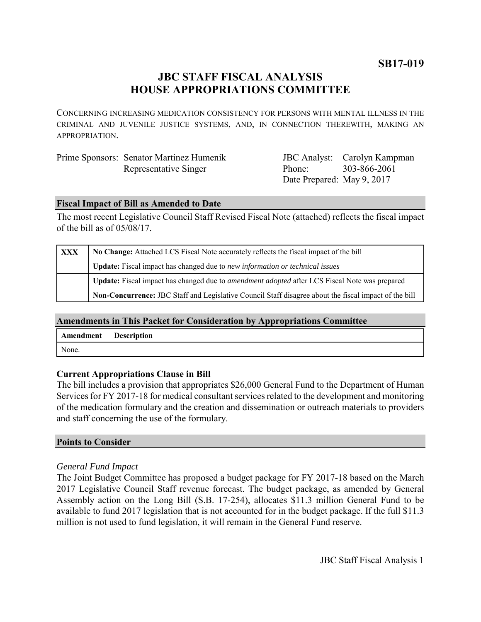**SB17-019**

# **JBC STAFF FISCAL ANALYSIS HOUSE APPROPRIATIONS COMMITTEE**

CONCERNING INCREASING MEDICATION CONSISTENCY FOR PERSONS WITH MENTAL ILLNESS IN THE CRIMINAL AND JUVENILE JUSTICE SYSTEMS, AND, IN CONNECTION THEREWITH, MAKING AN APPROPRIATION.

| Prime Sponsors: Senator Martinez Humenik |
|------------------------------------------|
| Representative Singer                    |

JBC Analyst: Carolyn Kampman Phone: Date Prepared: May 9, 2017 303-866-2061

## **Fiscal Impact of Bill as Amended to Date**

The most recent Legislative Council Staff Revised Fiscal Note (attached) reflects the fiscal impact of the bill as of 05/08/17.

| XXX | No Change: Attached LCS Fiscal Note accurately reflects the fiscal impact of the bill                        |  |
|-----|--------------------------------------------------------------------------------------------------------------|--|
|     | <b>Update:</b> Fiscal impact has changed due to new information or technical issues                          |  |
|     | Update: Fiscal impact has changed due to <i>amendment adopted</i> after LCS Fiscal Note was prepared         |  |
|     | <b>Non-Concurrence:</b> JBC Staff and Legislative Council Staff disagree about the fiscal impact of the bill |  |

# **Amendments in This Packet for Consideration by Appropriations Committee**

| Amendment | <b>Description</b> |
|-----------|--------------------|
| None.     |                    |

# **Current Appropriations Clause in Bill**

The bill includes a provision that appropriates \$26,000 General Fund to the Department of Human Services for FY 2017-18 for medical consultant services related to the development and monitoring of the medication formulary and the creation and dissemination or outreach materials to providers and staff concerning the use of the formulary.

### **Points to Consider**

### *General Fund Impact*

The Joint Budget Committee has proposed a budget package for FY 2017-18 based on the March 2017 Legislative Council Staff revenue forecast. The budget package, as amended by General Assembly action on the Long Bill (S.B. 17-254), allocates \$11.3 million General Fund to be available to fund 2017 legislation that is not accounted for in the budget package. If the full \$11.3 million is not used to fund legislation, it will remain in the General Fund reserve.